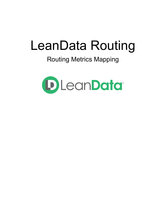# LeanData Routing

# Routing Metrics Mapping

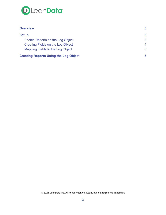

| <b>Overview</b>                              |                |
|----------------------------------------------|----------------|
| <b>Setup</b>                                 | 3              |
| Enable Reports on the Log Object             | 3              |
| Creating Fields on the Log Object            | $\overline{4}$ |
| Mapping Fields to the Log Object             | 5              |
| <b>Creating Reports Using the Log Object</b> | 6              |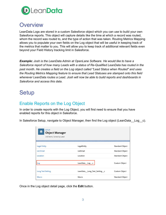

### <span id="page-2-0"></span>**Overview**

LeanData Logs are stored in a custom Salesforce object which you can use to build your own Salesforce reports. This object will capture details like the time at which a record was routed, whom the record was routed to, and the type of action that was taken. Routing Metrics Mapping allows you to populate your own fields on the Log object that will be useful in keeping track of the metrics that matter to you. This will allow you to keep track of additional relevant fields even beyond your Field History tracking limit in Salesforce.

*Example: Josh is the LeanData Admin at OpenLane Software. He would like to have a Salesforce report of how many Leads with a status of Re-Qualified LeanData has routed in the past month. He creates a field on the Log object called "Lead Status when Routed" and uses the Routing Metrics Mapping feature to ensure that Lead Statuses are stamped onto this field whenever LeanData routes a Lead. Josh will now be able to build reports and dashboards in Salesforce and access this data.*

## <span id="page-2-1"></span>**Setup**

#### <span id="page-2-2"></span>Enable Reports on the Log Object

In order to create reports with the Log Object, you will first need to ensure that you have enabled reports for this object in Salesforce.

In Salesforce Setup, navigate to Object Manager, then find the Log object (LeanData Log c).

| <b>SETUP</b><br>S<br><b>Object Manager</b><br>140 Items, Sorted by Label |                                |                        |
|--------------------------------------------------------------------------|--------------------------------|------------------------|
|                                                                          |                                |                        |
| <b>Legal Entity</b>                                                      | LegalEntity                    | <b>Standard Object</b> |
| <b>List Email</b>                                                        | ListEmail                      | <b>Standard Object</b> |
| Location                                                                 | Location                       | <b>Standard Object</b> |
| Log                                                                      | LeanData__Log__c               | <b>Custom Object</b>   |
| <b>Long Text Setting</b>                                                 | LeanData__Long_Text_Setting__c | Custom Object          |
| <b>Macro</b>                                                             | Macro                          | <b>Standard Object</b> |

Once in the Log object detail page, click the **Edit** button.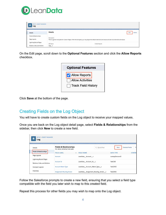

| <b>SETUP &gt; OBJECT MANAGER</b><br>€<br>Log |                                                                                                                                                                  |                       |      |               |
|----------------------------------------------|------------------------------------------------------------------------------------------------------------------------------------------------------------------|-----------------------|------|---------------|
| <b>Details</b>                               | <b>Details</b>                                                                                                                                                   |                       | Edit | <b>Delete</b> |
| Fields & Relationships                       |                                                                                                                                                                  |                       |      |               |
| Page Layouts                                 | Description<br>This is a generic template for Custom Object. With this template, you may adjust the default elements and values and add new elements and values. |                       |      |               |
| <b>Lightning Record Pages</b>                | API Name                                                                                                                                                         | <b>Enable Reports</b> |      |               |
| Buttons, Links, and Actions                  | $Log_c$                                                                                                                                                          |                       |      |               |

On the Edit page, scroll down to the **Optional Features** section and click the **Allow Reports** checkbox.

| <b>Optional Features</b> |
|--------------------------|
| Allow Reports            |
| Allow Activities         |
| Track Field History      |

Click **Save** at the bottom of the page.

#### <span id="page-3-0"></span>Creating Fields on the Log Object

You will have to create custom fields on the Log object to receive your mapped values.

Once you are back on the Log object detail page, select **Fields & Relationships** from the sidebar, then click **New** to create a new field.

| <b>SETUP &gt; OBJECT MANAGER</b><br>Log                      |                                                                       |                                      |              |                  |                              |
|--------------------------------------------------------------|-----------------------------------------------------------------------|--------------------------------------|--------------|------------------|------------------------------|
| <b>Details</b>                                               | <b>Fields &amp; Relationships</b><br>46+ Items, Sorted by Field Label |                                      | Q Ouick Find | <b>New</b>       | Fir<br><b>Deleted Fields</b> |
| <b>Fields &amp; Relationships</b>                            | <b>FIELD LABEL</b><br>$\blacktriangle$                                | <b>FIELD NAME</b>                    |              | <b>DATA TYPE</b> | <b>CONTRO</b>                |
| Page Layouts                                                 | Account                                                               | LeanData Account c                   |              | Lookup(Account)  |                              |
| <b>Lightning Record Pages</b><br>Buttons, Links, and Actions | <b>Account Id</b>                                                     | LeanData Account Id c                |              | Text(18)         |                              |
| Compact Layouts                                              | <b>Account Match Type</b>                                             | LeanData Account Match Type c        |              | Text(255)        |                              |
| <b>Field Sets</b>                                            | <b>Assignment Routing Action</b>                                      | LeanData Assignment Routing Action c |              | Text(255)        |                              |

Follow the Salesforce prompts to create a new field, ensuring that you select a field type compatible with the field you later wish to map to this created field.

Repeat this process for other fields you may wish to map onto the Log object.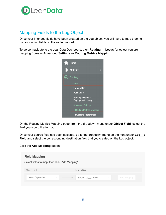

#### <span id="page-4-0"></span>Mapping Fields to the Log Object

Once your intended fields have been created on the Log object, you will have to map them to corresponding fields on the routed record.

To do so, navigate to the LeanData Dashboard, then **Routing** → **Leads** (or object you are mapping from) → **Advanced Settings** → **Routing Metrics Mapping**.



On the Routing Metrics Mapping page, from the dropdown menu under **Object Field**, select the field you would like to map.

Once your source field has been selected, go to the dropdown menu on the right under **Log\_\_c Field** and select the corresponding destination field that you created on the Log object.

Click the **Add Mapping** button.

| Select fields to map, then click 'Add Mapping'. |                    |                             |
|-------------------------------------------------|--------------------|-----------------------------|
| Object Field                                    | Log_c Field        |                             |
| Select Object Field<br>$\checkmark$             | Select Log_c Field | Add Mapping<br>$\checkmark$ |